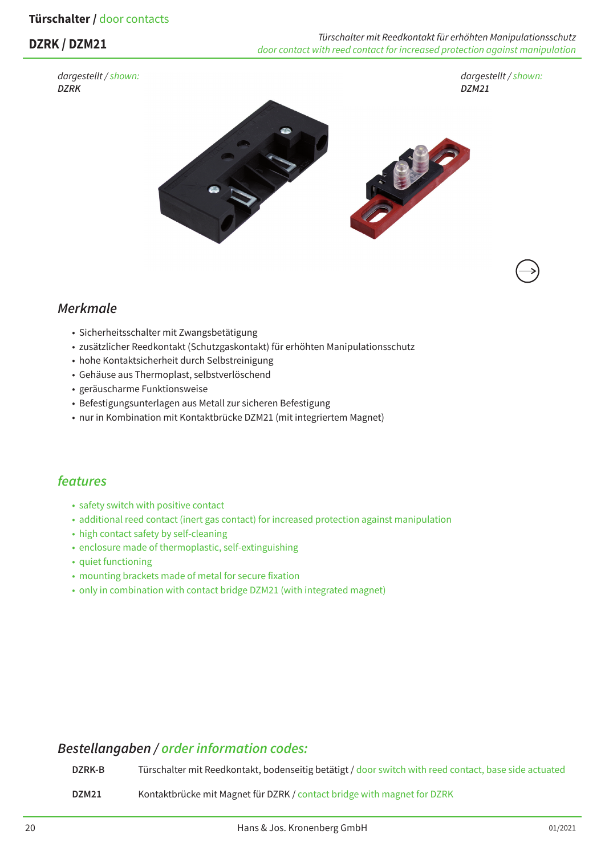### **Türschalter /** door contacts

*dargestellt / shown: DZRK*

**DZRK / DZM21** *Türschalter mit Reedkontakt für erhöhten Manipulationsschutz door contact with reed contact for increased protection against manipulation*

*dargestellt / shown: DZM21*



## *Merkmale*

- Sicherheitsschalter mit Zwangsbetätigung
- zusätzlicher Reedkontakt (Schutzgaskontakt) für erhöhten Manipulationsschutz
- hohe Kontaktsicherheit durch Selbstreinigung
- Gehäuse aus Thermoplast, selbstverlöschend
- geräuscharme Funktionsweise
- Befestigungsunterlagen aus Metall zur sicheren Befestigung
- nur in Kombination mit Kontaktbrücke DZM21 (mit integriertem Magnet)

## *features*

- safety switch with positive contact
- additional reed contact (inert gas contact) for increased protection against manipulation
- high contact safety by self-cleaning
- enclosure made of thermoplastic, self-extinguishing
- quiet functioning
- mounting brackets made of metal for secure fixation
- only in combination with contact bridge DZM21 (with integrated magnet)

### *Bestellangaben / order information codes:*

**DZRK-B** Türschalter mit Reedkontakt, bodenseitig betätigt / door switch with reed contact, base side actuated **DZM21** Kontaktbrücke mit Magnet für DZRK / contact bridge with magnet for DZRK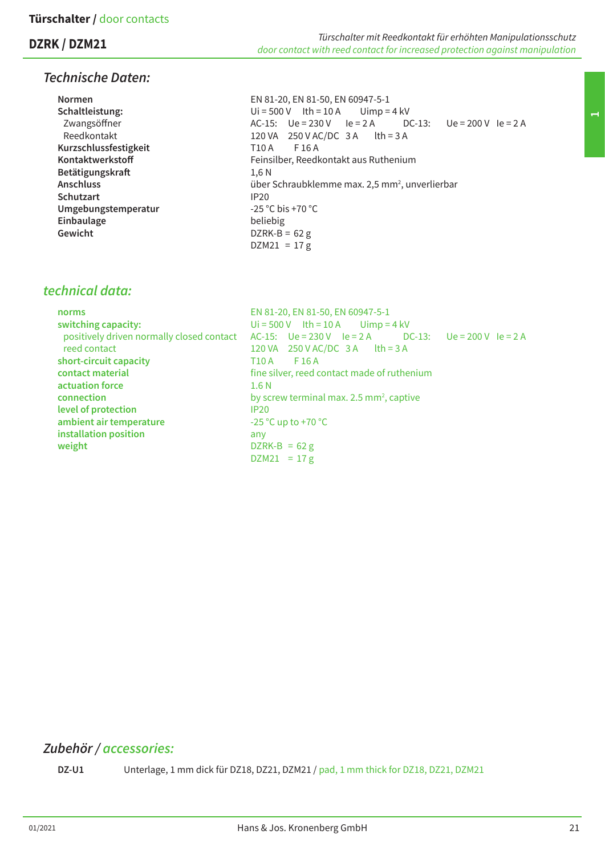# **DZRK / DZM21**

# *Technische Daten:*

| <b>Normen</b>         | EN 81-20, EN 81-50, EN 60947-5-1                                   |
|-----------------------|--------------------------------------------------------------------|
| Schaltleistung:       | $Ui = 500 V$ lth = 10 A Uimp = 4 kV                                |
| Zwangsöffner          | $DC-13$ : $Ue = 200V$ $Ie = 2A$<br>$AC-15$ : $Ue = 230V$ $Ie = 2A$ |
| Reedkontakt           | 120 VA 250 V AC/DC 3 A $\text{lth} = 3 \text{ A}$                  |
| Kurzschlussfestigkeit | F 16 A<br>T10 A                                                    |
| Kontaktwerkstoff      | Feinsilber, Reedkontakt aus Ruthenium                              |
| Betätigungskraft      | 1.6N                                                               |
| <b>Anschluss</b>      | über Schraubklemme max. 2,5 mm <sup>2</sup> , unverlierbar         |
| <b>Schutzart</b>      | IP <sub>20</sub>                                                   |
| Umgebungstemperatur   | $-25 °C$ bis +70 °C                                                |
| Einbaulage            | beliebig                                                           |
| Gewicht               | DZRK-B = $62$ g                                                    |
|                       | $DZM21 = 17 g$                                                     |

# *technical data:*

| norms                                     | EN 81-20, EN 81-50, EN 60947-5-1                              |
|-------------------------------------------|---------------------------------------------------------------|
| switching capacity:                       | $Ui = 500 V$ lth = 10 A Uimp = 4 kV                           |
| positively driven normally closed contact | AC-15: $Ue = 230 V$ $Ie = 2 A$ DC-13: $Ue = 200 V$ $Ie = 2 A$ |
| reed contact                              | 120 VA $250$ V AC/DC 3 A $\text{lth} = 3$ A                   |
| short-circuit capacity                    | T10 A<br>F 16 A                                               |
| contact material                          | fine silver, reed contact made of ruthenium                   |
| actuation force                           | 1.6 <sub>N</sub>                                              |
| connection                                | by screw terminal max. 2.5 mm <sup>2</sup> , captive          |
| level of protection                       | <b>IP20</b>                                                   |
| ambient air temperature                   | $-25$ °C up to +70 °C                                         |
| installation position                     | any                                                           |
| weight                                    | $DZRK-B = 62 g$                                               |
|                                           | $DZM21 = 17 g$                                                |

# *Zubehör / accessories:*

DZ-U1 Unterlage, 1 mm dick für DZ18, DZ21, DZM21 / pad, 1 mm thick for DZ18, DZ21, DZM21

*Türschalter mit Reedkontakt für erhöhten Manipulationsschutz*

*door contact with reed contact for increased protection against manipulation*

**1**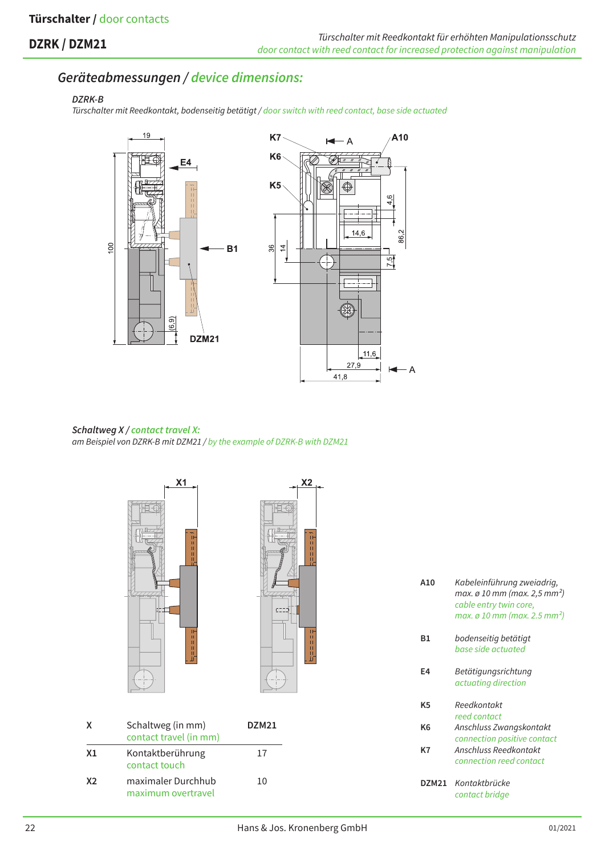# **DZRK / DZM21**

# *Geräteabmessungen / device dimensions:*

#### *DZRK-B*

*Türschalter mit Reedkontakt, bodenseitig betätigt / door switch with reed contact, base side actuated*



*Schaltweg X / contact travel X: am Beispiel von DZRK-B mit DZM21 / by the example of DZRK-B with DZM21*



| A10   | Kabeleinführung zweiadrig,<br>max. ø 10 mm (max. 2,5 mm <sup>2</sup> )<br>cable entry twin core,<br>max. ø 10 mm (max. 2.5 mm²) |
|-------|---------------------------------------------------------------------------------------------------------------------------------|
| Β1    | bodenseitig betätigt<br>base side actuated                                                                                      |
| E4    | Betätigungsrichtung<br>actuating direction                                                                                      |
| K5    | Reedkontakt<br>reed contact                                                                                                     |
| K6    | Anschluss Zwangskontakt<br>connection positive contact                                                                          |
| K7    | Anschluss Reedkontakt<br>connection reed contact                                                                                |
| DZM21 | Kontaktbrücke<br>contact bridge                                                                                                 |